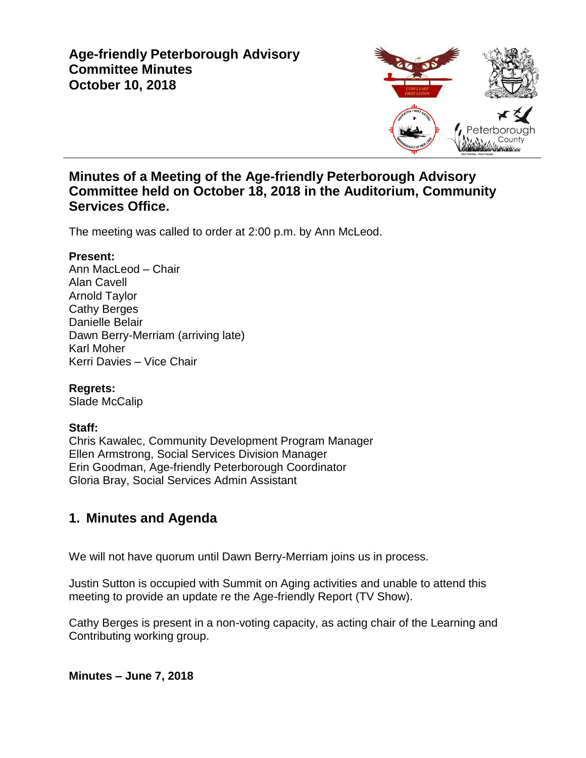

### **Minutes of a Meeting of the Age-friendly Peterborough Advisory Committee held on October 18, 2018 in the Auditorium, Community Services Office.**

The meeting was called to order at 2:00 p.m. by Ann McLeod.

#### **Present:**

Ann MacLeod – Chair Alan Cavell Arnold Taylor Cathy Berges Danielle Belair Dawn Berry-Merriam (arriving late) Karl Moher Kerri Davies – Vice Chair

**Regrets:**

Slade McCalip

### **Staff:**

Chris Kawalec, Community Development Program Manager Ellen Armstrong, Social Services Division Manager Erin Goodman, Age-friendly Peterborough Coordinator Gloria Bray, Social Services Admin Assistant

# **1. Minutes and Agenda**

We will not have quorum until Dawn Berry-Merriam joins us in process.

Justin Sutton is occupied with Summit on Aging activities and unable to attend this meeting to provide an update re the Age-friendly Report (TV Show).

Cathy Berges is present in a non-voting capacity, as acting chair of the Learning and Contributing working group.

**Minutes – June 7, 2018**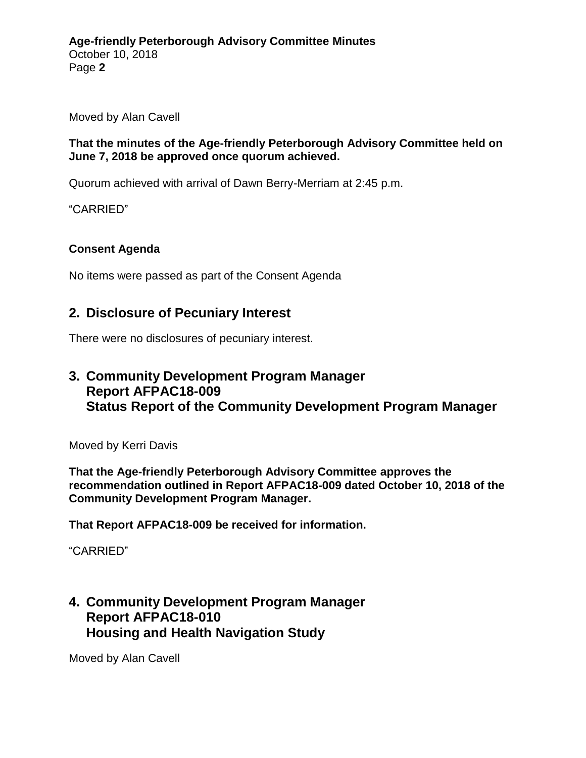Moved by Alan Cavell

#### **That the minutes of the Age-friendly Peterborough Advisory Committee held on June 7, 2018 be approved once quorum achieved.**

Quorum achieved with arrival of Dawn Berry-Merriam at 2:45 p.m.

"CARRIED"

### **Consent Agenda**

No items were passed as part of the Consent Agenda

### **2. Disclosure of Pecuniary Interest**

There were no disclosures of pecuniary interest.

# **3. Community Development Program Manager Report AFPAC18-009 Status Report of the Community Development Program Manager**

Moved by Kerri Davis

**That the Age-friendly Peterborough Advisory Committee approves the recommendation outlined in Report AFPAC18-009 dated October 10, 2018 of the Community Development Program Manager.**

**That Report AFPAC18-009 be received for information.**

"CARRIED"

### **4. Community Development Program Manager Report AFPAC18-010 Housing and Health Navigation Study**

Moved by Alan Cavell